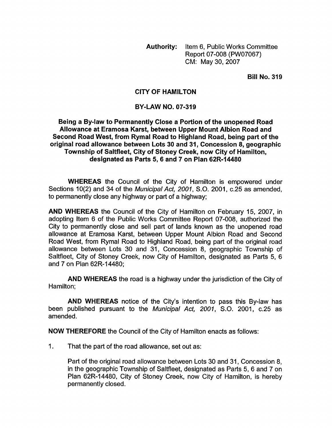Authority: Item 6, Public Works Committee Report 07-008 (PW07067) CM: May 30,2007

Bill No. 319

## CITY OF HAMILTON

## BY-LAW NO. 07-319

## Being a By-law to Permanently Close a Portion of the unopened Road Allowance at Eramosa Karst, between Upper Mount Albion Road and Second Road West, from Rymal Road to Highland Road, being part of the original road allowance between Lots 30 and 31, Concession 8, geographic Township of Saltfleet, City of Stoney Creek, now City of Hamilton, designated as Parts 5, 6 and 7 on Plan 62R-14480

WHEREAS the Council of the City of Hamilton is empowered under Sections 10(2) and 34 of the *Municipal Act, 2001*, S.O. 2001, c.25 as amended, to permanently close any highway or part *of* a highway;

AND WHEREAS the Council of the City of Hamilton on February 15, 2007, in adopting Item 6 of the Public Works Committee Report 07-008, authorized the City to permanently close and sell part of lands known as the unopened road allowance at Eramosa Karst, between Upper Mount Albion Road and Second Road West, from Rymal Road to Highland Road, being part of the original road allowance between Lots 30 and 31, Concession 8, geographic Township of Saltfleet, City of Stoney Creek, now City of Hamilton, designated as Parts 5, 6 and 7 on Plan 62R-14480;

AND WHEREAS the road is a highway under the jurisdiction of the City of Hamilton;

AND WHEREAS notice of the City's intention to pass this By-law has been published pursuant to the *Municipal Act, 2001, S.O.* 2001, c.25 as amended.

NOW THEREFORE the Council of the City of Hamilton enacts as follows:

1. That the part of the road allowance, set out as:

Part of the original road allowance between Lots 30 and 31 , Concession 8, in the geographic Township of Saltfleet, designated as Parts 5, 6 and 7 on Plan 62R-14480, City of Stoney Creek, now City of Hamilton, is hereby permanently closed.